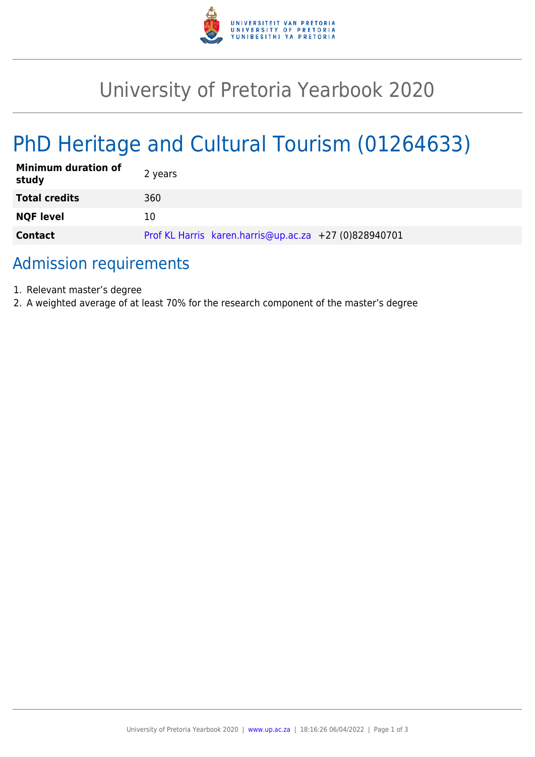

# University of Pretoria Yearbook 2020

# PhD Heritage and Cultural Tourism (01264633)

| <b>Minimum duration of</b><br>study | 2 years                                               |
|-------------------------------------|-------------------------------------------------------|
| <b>Total credits</b>                | 360                                                   |
| <b>NQF level</b>                    | 10                                                    |
| <b>Contact</b>                      | Prof KL Harris karen.harris@up.ac.za +27 (0)828940701 |

## Admission requirements

- 1. Relevant master's degree
- 2. A weighted average of at least 70% for the research component of the master's degree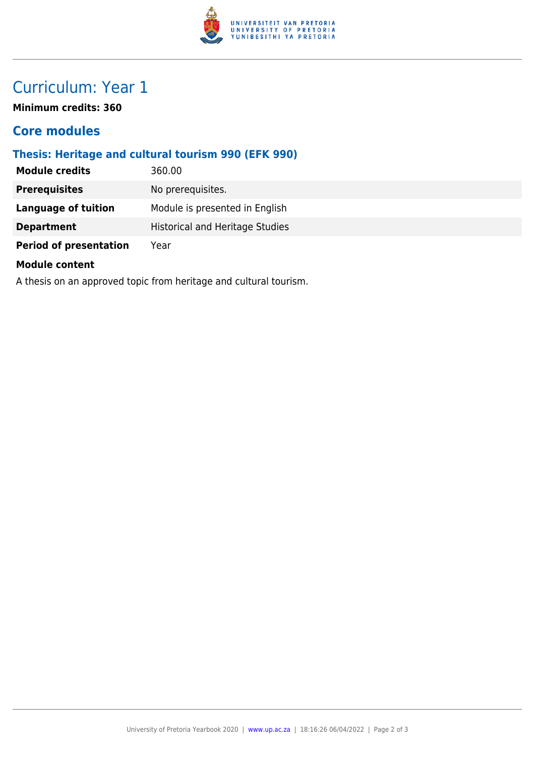

## Curriculum: Year 1

**Minimum credits: 360**

### **Core modules**

#### **Thesis: Heritage and cultural tourism 990 (EFK 990)**

| <b>Module credits</b>         | 360.00                                 |
|-------------------------------|----------------------------------------|
| <b>Prerequisites</b>          | No prerequisites.                      |
| Language of tuition           | Module is presented in English         |
| <b>Department</b>             | <b>Historical and Heritage Studies</b> |
| <b>Period of presentation</b> | Year                                   |

#### **Module content**

A thesis on an approved topic from heritage and cultural tourism.